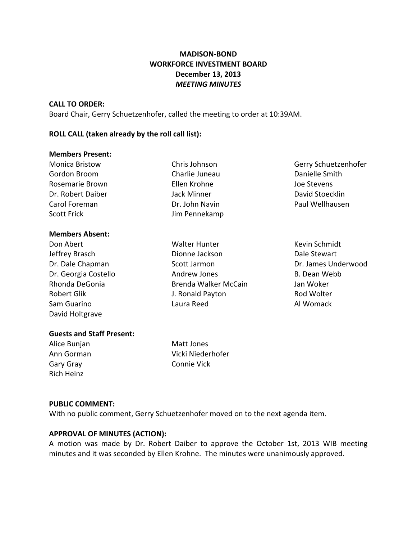# **MADISON-BOND WORKFORCE INVESTMENT BOARD December 13, 2013** *MEETING MINUTES*

#### **CALL TO ORDER:**

Board Chair, Gerry Schuetzenhofer, called the meeting to order at 10:39AM.

## **ROLL CALL (taken already by the roll call list):**

#### **Members Present:**

| <b>Monica Bristow</b><br>Gordon Broom<br>Rosemarie Brown | Chris Johnson<br>Charlie Juneau<br>Ellen Krohne | Gerry Schuetzenhofer<br>Danielle Smith<br>Joe Stevens |                   |                |                 |
|----------------------------------------------------------|-------------------------------------------------|-------------------------------------------------------|-------------------|----------------|-----------------|
|                                                          |                                                 |                                                       | Dr. Robert Daiber | Jack Minner    | David Stoecklin |
|                                                          |                                                 |                                                       | Carol Foreman     | Dr. John Navin | Paul Wellhausen |
| <b>Scott Frick</b>                                       | Jim Pennekamp                                   |                                                       |                   |                |                 |
| <b>Members Absent:</b>                                   |                                                 |                                                       |                   |                |                 |
| Don Abert                                                | <b>Walter Hunter</b>                            | Kevin Schmidt                                         |                   |                |                 |

David Holtgrave

Jeffrey Brasch Dionne Jackson Dale Stewart Dr. Dale Chapman Scott Jarmon Dr. James Underwood Dr. Georgia Costello **Andrew Jones** B. Dean Webb Rhonda DeGonia Brenda Walker McCain Jan Woker Robert Glik **No. 2018 J. Ronald Payton Constanting Constanting Constanting Constanting Constanting Constanting Constanting Constanting Constanting Constanting Constanting Constanting Constanting Constanting Constanting** Sam Guarino **Cause Cause Laura Reed Cause Communist Communist Cause Communist Communist Communist Communist Communist Communist Communist Communist Communist Communist Communist Communist Communist Communist Communist Co** 

## **Guests and Staff Present:**

Alice Bunjan Matt Jones Gary Gray Connie Vick Rich Heinz

Ann Gorman Vicki Niederhofer

#### **PUBLIC COMMENT:**

With no public comment, Gerry Schuetzenhofer moved on to the next agenda item.

## **APPROVAL OF MINUTES (ACTION):**

A motion was made by Dr. Robert Daiber to approve the October 1st, 2013 WIB meeting minutes and it was seconded by Ellen Krohne. The minutes were unanimously approved.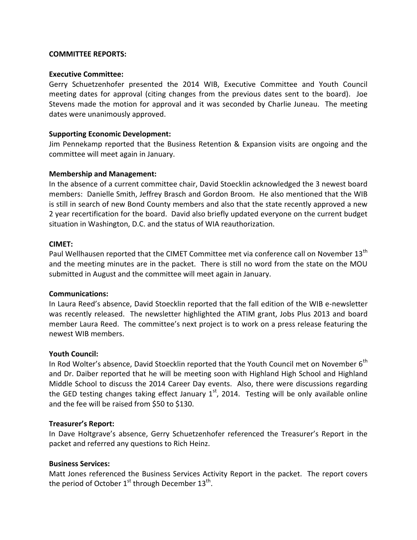#### **COMMITTEE REPORTS:**

### **Executive Committee:**

Gerry Schuetzenhofer presented the 2014 WIB, Executive Committee and Youth Council meeting dates for approval (citing changes from the previous dates sent to the board). Joe Stevens made the motion for approval and it was seconded by Charlie Juneau. The meeting dates were unanimously approved.

## **Supporting Economic Development:**

Jim Pennekamp reported that the Business Retention & Expansion visits are ongoing and the committee will meet again in January.

### **Membership and Management:**

In the absence of a current committee chair, David Stoecklin acknowledged the 3 newest board members: Danielle Smith, Jeffrey Brasch and Gordon Broom. He also mentioned that the WIB is still in search of new Bond County members and also that the state recently approved a new 2 year recertification for the board. David also briefly updated everyone on the current budget situation in Washington, D.C. and the status of WIA reauthorization.

### **CIMET:**

Paul Wellhausen reported that the CIMET Committee met via conference call on November 13<sup>th</sup> and the meeting minutes are in the packet. There is still no word from the state on the MOU submitted in August and the committee will meet again in January.

#### **Communications:**

In Laura Reed's absence, David Stoecklin reported that the fall edition of the WIB e-newsletter was recently released. The newsletter highlighted the ATIM grant, Jobs Plus 2013 and board member Laura Reed. The committee's next project is to work on a press release featuring the newest WIB members.

## **Youth Council:**

In Rod Wolter's absence, David Stoecklin reported that the Youth Council met on November 6<sup>th</sup> and Dr. Daiber reported that he will be meeting soon with Highland High School and Highland Middle School to discuss the 2014 Career Day events. Also, there were discussions regarding the GED testing changes taking effect January  $1<sup>st</sup>$ , 2014. Testing will be only available online and the fee will be raised from \$50 to \$130.

## **Treasurer's Report:**

In Dave Holtgrave's absence, Gerry Schuetzenhofer referenced the Treasurer's Report in the packet and referred any questions to Rich Heinz.

#### **Business Services:**

Matt Jones referenced the Business Services Activity Report in the packet. The report covers the period of October  $1^{\text{st}}$  through December  $13^{\text{th}}$ .